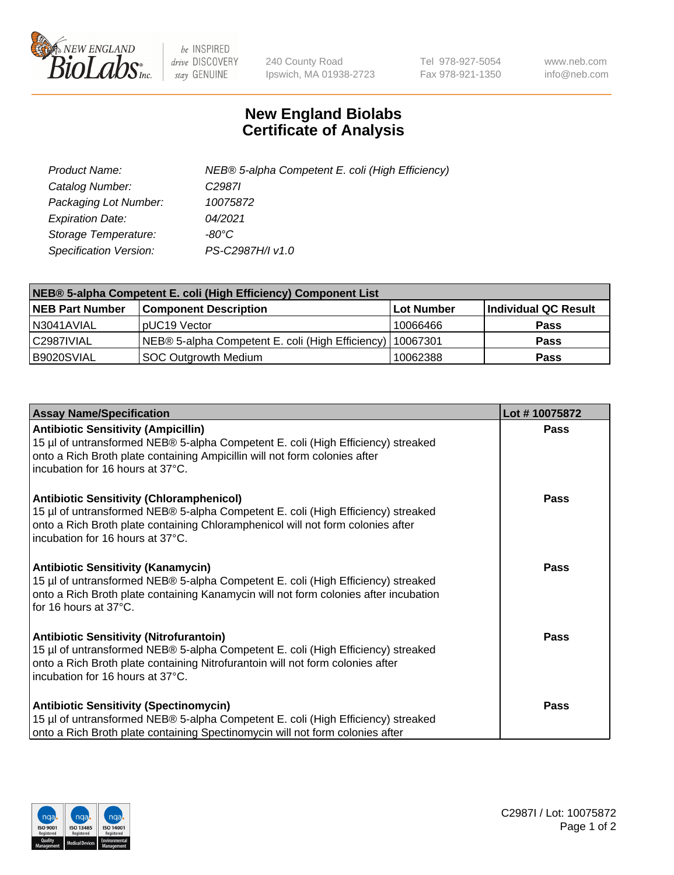

 $be$  INSPIRED drive DISCOVERY stay GENUINE

240 County Road Ipswich, MA 01938-2723 Tel 978-927-5054 Fax 978-921-1350 www.neb.com info@neb.com

## **New England Biolabs Certificate of Analysis**

| Product Name:           | NEB® 5-alpha Competent E. coli (High Efficiency) |
|-------------------------|--------------------------------------------------|
| Catalog Number:         | C <sub>2987</sub>                                |
| Packaging Lot Number:   | 10075872                                         |
| <b>Expiration Date:</b> | 04/2021                                          |
| Storage Temperature:    | -80°C                                            |
| Specification Version:  | PS-C2987H/I v1.0                                 |

| NEB® 5-alpha Competent E. coli (High Efficiency) Component List |                                                             |                   |                      |  |
|-----------------------------------------------------------------|-------------------------------------------------------------|-------------------|----------------------|--|
| <b>NEB Part Number</b>                                          | <b>Component Description</b>                                | <b>Lot Number</b> | Individual QC Result |  |
| N3041AVIAL                                                      | pUC19 Vector                                                | 10066466          | <b>Pass</b>          |  |
| C2987IVIAL                                                      | NEB® 5-alpha Competent E. coli (High Efficiency)   10067301 |                   | <b>Pass</b>          |  |
| B9020SVIAL                                                      | SOC Outgrowth Medium                                        | 10062388          | <b>Pass</b>          |  |

| <b>Assay Name/Specification</b>                                                                                                                                                                                                                            | Lot #10075872 |
|------------------------------------------------------------------------------------------------------------------------------------------------------------------------------------------------------------------------------------------------------------|---------------|
| <b>Antibiotic Sensitivity (Ampicillin)</b><br>15 µl of untransformed NEB® 5-alpha Competent E. coli (High Efficiency) streaked<br>onto a Rich Broth plate containing Ampicillin will not form colonies after<br>incubation for 16 hours at 37°C.           | <b>Pass</b>   |
| <b>Antibiotic Sensitivity (Chloramphenicol)</b><br>15 µl of untransformed NEB® 5-alpha Competent E. coli (High Efficiency) streaked<br>onto a Rich Broth plate containing Chloramphenicol will not form colonies after<br>incubation for 16 hours at 37°C. | Pass          |
| Antibiotic Sensitivity (Kanamycin)<br>15 µl of untransformed NEB® 5-alpha Competent E. coli (High Efficiency) streaked<br>onto a Rich Broth plate containing Kanamycin will not form colonies after incubation<br>for 16 hours at 37°C.                    | Pass          |
| <b>Antibiotic Sensitivity (Nitrofurantoin)</b><br>15 µl of untransformed NEB® 5-alpha Competent E. coli (High Efficiency) streaked<br>onto a Rich Broth plate containing Nitrofurantoin will not form colonies after<br>incubation for 16 hours at 37°C.   | <b>Pass</b>   |
| <b>Antibiotic Sensitivity (Spectinomycin)</b><br>15 µl of untransformed NEB® 5-alpha Competent E. coli (High Efficiency) streaked<br>onto a Rich Broth plate containing Spectinomycin will not form colonies after                                         | Pass          |